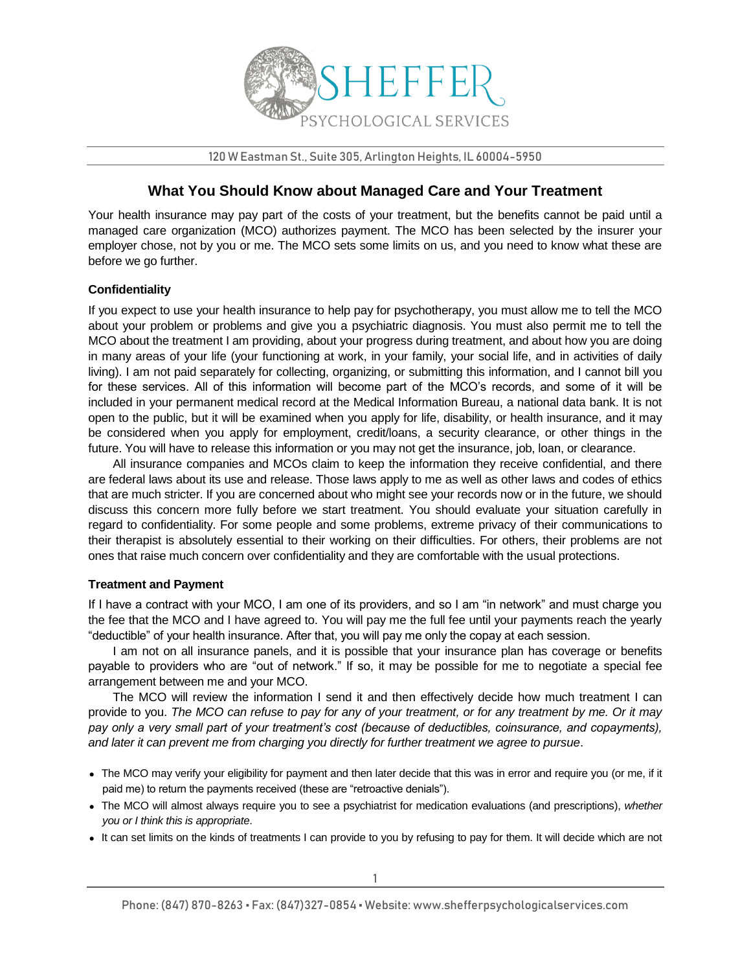

120 W Eastman St., Suite 305, Arlington Heights, IL 60004-5950

## **What You Should Know about Managed Care and Your Treatment**

Your health insurance may pay part of the costs of your treatment, but the benefits cannot be paid until a managed care organization (MCO) authorizes payment. The MCO has been selected by the insurer your employer chose, not by you or me. The MCO sets some limits on us, and you need to know what these are before we go further.

## **Confidentiality**

If you expect to use your health insurance to help pay for psychotherapy, you must allow me to tell the MCO about your problem or problems and give you a psychiatric diagnosis. You must also permit me to tell the MCO about the treatment I am providing, about your progress during treatment, and about how you are doing in many areas of your life (your functioning at work, in your family, your social life, and in activities of daily living). I am not paid separately for collecting, organizing, or submitting this information, and I cannot bill you for these services. All of this information will become part of the MCO's records, and some of it will be included in your permanent medical record at the Medical Information Bureau, a national data bank. It is not open to the public, but it will be examined when you apply for life, disability, or health insurance, and it may be considered when you apply for employment, credit/loans, a security clearance, or other things in the future. You will have to release this information or you may not get the insurance, job, loan, or clearance.

All insurance companies and MCOs claim to keep the information they receive confidential, and there are federal laws about its use and release. Those laws apply to me as well as other laws and codes of ethics that are much stricter. If you are concerned about who might see your records now or in the future, we should discuss this concern more fully before we start treatment. You should evaluate your situation carefully in regard to confidentiality. For some people and some problems, extreme privacy of their communications to their therapist is absolutely essential to their working on their difficulties. For others, their problems are not ones that raise much concern over confidentiality and they are comfortable with the usual protections.

## **Treatment and Payment**

If I have a contract with your MCO, I am one of its providers, and so I am "in network" and must charge you the fee that the MCO and I have agreed to. You will pay me the full fee until your payments reach the yearly "deductible" of your health insurance. After that, you will pay me only the copay at each session.

I am not on all insurance panels, and it is possible that your insurance plan has coverage or benefits payable to providers who are "out of network." If so, it may be possible for me to negotiate a special fee arrangement between me and your MCO.

The MCO will review the information I send it and then effectively decide how much treatment I can provide to you. *The MCO can refuse to pay for any of your treatment, or for any treatment by me. Or it may pay only a very small part of your treatment's cost (because of deductibles, coinsurance, and copayments), and later it can prevent me from charging you directly for further treatment we agree to pursue*.

- The MCO may verify your eligibility for payment and then later decide that this was in error and require you (or me, if it paid me) to return the payments received (these are "retroactive denials").
- The MCO will almost always require you to see a psychiatrist for medication evaluations (and prescriptions), *whether you or I think this is appropriate*.
- It can set limits on the kinds of treatments I can provide to you by refusing to pay for them. It will decide which are not